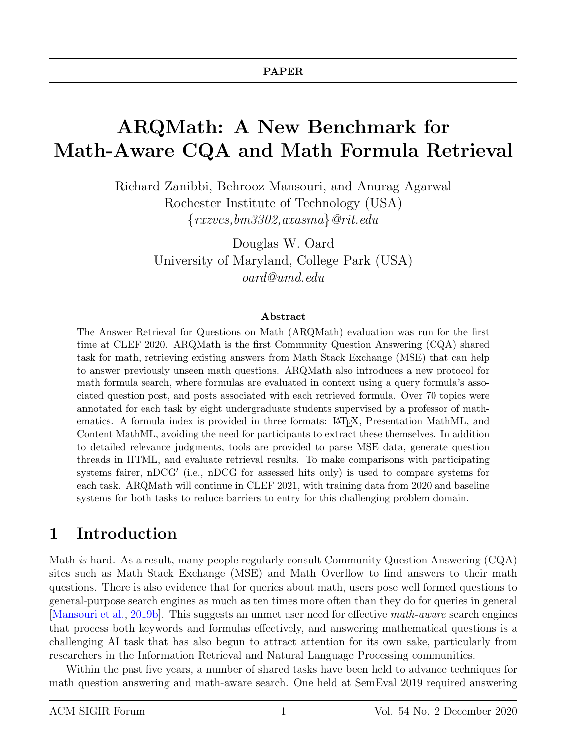# ARQMath: A New Benchmark for Math-Aware CQA and Math Formula Retrieval

Richard Zanibbi, Behrooz Mansouri, and Anurag Agarwal Rochester Institute of Technology (USA) {rxzvcs,bm3302,axasma}@rit.edu

> Douglas W. Oard University of Maryland, College Park (USA) oard@umd.edu

#### Abstract

The Answer Retrieval for Questions on Math (ARQMath) evaluation was run for the first time at CLEF 2020. ARQMath is the first Community Question Answering (CQA) shared task for math, retrieving existing answers from Math Stack Exchange (MSE) that can help to answer previously unseen math questions. ARQMath also introduces a new protocol for math formula search, where formulas are evaluated in context using a query formula's associated question post, and posts associated with each retrieved formula. Over 70 topics were annotated for each task by eight undergraduate students supervised by a professor of mathematics. A formula index is provided in three formats: LAT<sub>EX</sub>, Presentation MathML, and Content MathML, avoiding the need for participants to extract these themselves. In addition to detailed relevance judgments, tools are provided to parse MSE data, generate question threads in HTML, and evaluate retrieval results. To make comparisons with participating systems fairer,  $nDCG'$  (i.e.,  $nDCG$  for assessed hits only) is used to compare systems for each task. ARQMath will continue in CLEF 2021, with training data from 2020 and baseline systems for both tasks to reduce barriers to entry for this challenging problem domain.

### 1 Introduction

Math is hard. As a result, many people regularly consult Community Question Answering (CQA) sites such as Math Stack Exchange (MSE) and Math Overflow to find answers to their math questions. There is also evidence that for queries about math, users pose well formed questions to general-purpose search engines as much as ten times more often than they do for queries in general [\[Mansouri et al.,](#page-7-0) [2019b\]](#page-7-0). This suggests an unmet user need for effective math-aware search engines that process both keywords and formulas effectively, and answering mathematical questions is a challenging AI task that has also begun to attract attention for its own sake, particularly from researchers in the Information Retrieval and Natural Language Processing communities.

Within the past five years, a number of shared tasks have been held to advance techniques for math question answering and math-aware search. One held at SemEval 2019 required answering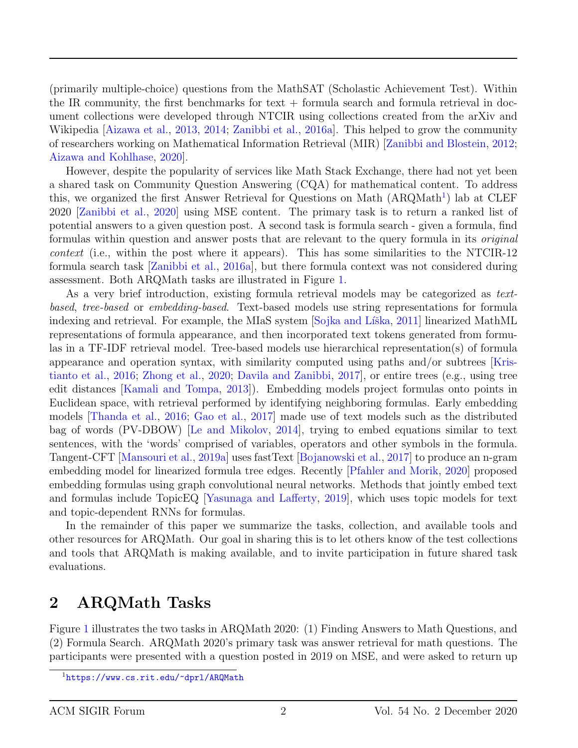(primarily multiple-choice) questions from the MathSAT (Scholastic Achievement Test). Within the IR community, the first benchmarks for text + formula search and formula retrieval in document collections were developed through NTCIR using collections created from the arXiv and Wikipedia [\[Aizawa et al.,](#page-7-1) [2013,](#page-7-1) [2014;](#page-7-2) [Zanibbi et al.,](#page-8-0) [2016a\]](#page-8-0). This helped to grow the community of researchers working on Mathematical Information Retrieval (MIR) [\[Zanibbi and Blostein,](#page-8-1) [2012;](#page-8-1) [Aizawa and Kohlhase,](#page-6-0) [2020\]](#page-6-0).

However, despite the popularity of services like Math Stack Exchange, there had not yet been a shared task on Community Question Answering (CQA) for mathematical content. To address this, we organized the first Answer Retrieval for Questions on Math  $(ARQMath<sup>1</sup>)$  $(ARQMath<sup>1</sup>)$  $(ARQMath<sup>1</sup>)$  lab at CLEF 2020 [\[Zanibbi et al.,](#page-8-2) [2020\]](#page-8-2) using MSE content. The primary task is to return a ranked list of potential answers to a given question post. A second task is formula search - given a formula, find formulas within question and answer posts that are relevant to the query formula in its original *context* (i.e., within the post where it appears). This has some similarities to the NTCIR-12 formula search task [\[Zanibbi et al.,](#page-8-0) [2016a\]](#page-8-0), but there formula context was not considered during assessment. Both ARQMath tasks are illustrated in Figure [1.](#page-2-0)

As a very brief introduction, existing formula retrieval models may be categorized as textbased, tree-based or embedding-based. Text-based models use string representations for formula indexing and retrieval. For example, the MIaS system [Sojka and Líška, [2011\]](#page-8-3) linearized MathML representations of formula appearance, and then incorporated text tokens generated from formulas in a TF-IDF retrieval model. Tree-based models use hierarchical representation(s) of formula appearance and operation syntax, with similarity computed using paths and/or subtrees [\[Kris](#page-7-3)[tianto et al.,](#page-7-3) [2016;](#page-7-3) [Zhong et al.,](#page-8-4) [2020;](#page-8-4) [Davila and Zanibbi,](#page-7-4) [2017\]](#page-7-4), or entire trees (e.g., using tree edit distances [\[Kamali and Tompa,](#page-7-5) [2013\]](#page-7-5)). Embedding models project formulas onto points in Euclidean space, with retrieval performed by identifying neighboring formulas. Early embedding models [\[Thanda et al.,](#page-8-5) [2016;](#page-8-5) [Gao et al.,](#page-7-6) [2017\]](#page-7-6) made use of text models such as the distributed bag of words (PV-DBOW) [\[Le and Mikolov,](#page-7-7) [2014\]](#page-7-7), trying to embed equations similar to text sentences, with the 'words' comprised of variables, operators and other symbols in the formula. Tangent-CFT [\[Mansouri et al.,](#page-7-8) [2019a\]](#page-7-8) uses fastText [\[Bojanowski et al.,](#page-7-9) [2017\]](#page-7-9) to produce an n-gram embedding model for linearized formula tree edges. Recently [\[Pfahler and Morik,](#page-7-10) [2020\]](#page-7-10) proposed embedding formulas using graph convolutional neural networks. Methods that jointly embed text and formulas include TopicEQ [\[Yasunaga and Lafferty,](#page-8-6) [2019\]](#page-8-6), which uses topic models for text and topic-dependent RNNs for formulas.

In the remainder of this paper we summarize the tasks, collection, and available tools and other resources for ARQMath. Our goal in sharing this is to let others know of the test collections and tools that ARQMath is making available, and to invite participation in future shared task evaluations.

### 2 ARQMath Tasks

Figure [1](#page-2-0) illustrates the two tasks in ARQMath 2020: (1) Finding Answers to Math Questions, and (2) Formula Search. ARQMath 2020's primary task was answer retrieval for math questions. The participants were presented with a question posted in 2019 on MSE, and were asked to return up

<span id="page-1-0"></span><sup>1</sup><https://www.cs.rit.edu/~dprl/ARQMath>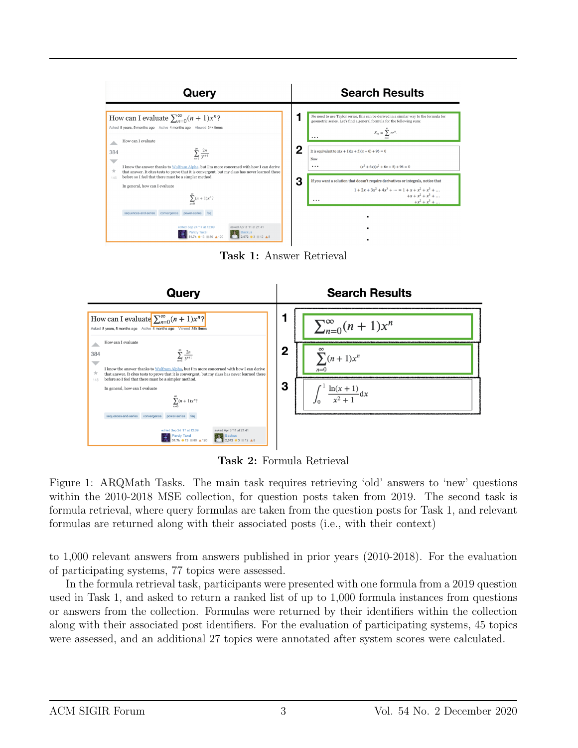

Task 1: Answer Retrieval



Task 2: Formula Retrieval

<span id="page-2-0"></span>Figure 1: ARQMath Tasks. The main task requires retrieving 'old' answers to 'new' questions within the 2010-2018 MSE collection, for question posts taken from 2019. The second task is formula retrieval, where query formulas are taken from the question posts for Task 1, and relevant formulas are returned along with their associated posts (i.e., with their context)

to 1,000 relevant answers from answers published in prior years (2010-2018). For the evaluation of participating systems, 77 topics were assessed.

In the formula retrieval task, participants were presented with one formula from a 2019 question used in Task 1, and asked to return a ranked list of up to 1,000 formula instances from questions or answers from the collection. Formulas were returned by their identifiers within the collection along with their associated post identifiers. For the evaluation of participating systems, 45 topics were assessed, and an additional 27 topics were annotated after system scores were calculated.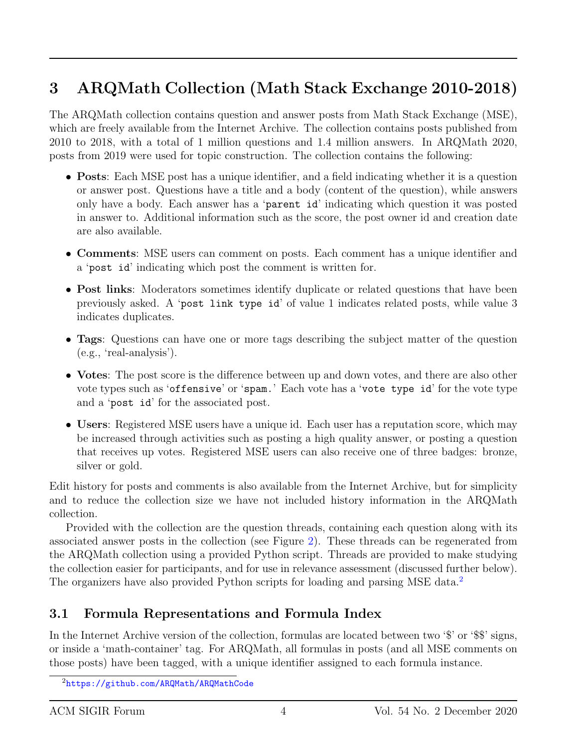## 3 ARQMath Collection (Math Stack Exchange 2010-2018)

The ARQMath collection contains question and answer posts from Math Stack Exchange (MSE), which are freely available from the Internet Archive. The collection contains posts published from 2010 to 2018, with a total of 1 million questions and 1.4 million answers. In ARQMath 2020, posts from 2019 were used for topic construction. The collection contains the following:

- **Posts**: Each MSE post has a unique identifier, and a field indicating whether it is a question or answer post. Questions have a title and a body (content of the question), while answers only have a body. Each answer has a 'parent id' indicating which question it was posted in answer to. Additional information such as the score, the post owner id and creation date are also available.
- Comments: MSE users can comment on posts. Each comment has a unique identifier and a 'post id' indicating which post the comment is written for.
- Post links: Moderators sometimes identify duplicate or related questions that have been previously asked. A 'post link type id' of value 1 indicates related posts, while value 3 indicates duplicates.
- Tags: Questions can have one or more tags describing the subject matter of the question (e.g., 'real-analysis').
- Votes: The post score is the difference between up and down votes, and there are also other vote types such as 'offensive' or 'spam.' Each vote has a 'vote type id' for the vote type and a 'post id' for the associated post.
- Users: Registered MSE users have a unique id. Each user has a reputation score, which may be increased through activities such as posting a high quality answer, or posting a question that receives up votes. Registered MSE users can also receive one of three badges: bronze, silver or gold.

Edit history for posts and comments is also available from the Internet Archive, but for simplicity and to reduce the collection size we have not included history information in the ARQMath collection.

Provided with the collection are the question threads, containing each question along with its associated answer posts in the collection (see Figure [2\)](#page-4-0). These threads can be regenerated from the ARQMath collection using a provided Python script. Threads are provided to make studying the collection easier for participants, and for use in relevance assessment (discussed further below). The organizers have also provided Python scripts for loading and parsing MSE data.<sup>[2](#page-3-0)</sup>

### 3.1 Formula Representations and Formula Index

In the Internet Archive version of the collection, formulas are located between two '\$' or '\$\$' signs, or inside a 'math-container' tag. For ARQMath, all formulas in posts (and all MSE comments on those posts) have been tagged, with a unique identifier assigned to each formula instance.

<span id="page-3-0"></span><sup>2</sup><https://github.com/ARQMath/ARQMathCode>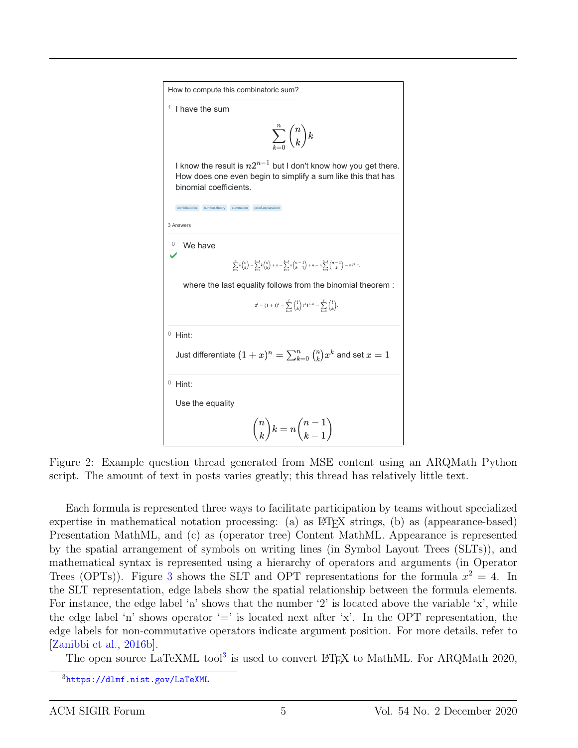```
How to compute this combinatoric sum?
1 I have the sum
                                      \sum_{k=0}^{n} \binom{n}{k} kI know the result is n2^{n-1} but I don't know how you get there.
  How does one even begin to simplify a sum like this that has
  binomial coefficients. combination proof-
3 Answers
     We have
                       \sum_{k=0}^n k\binom{n}{k}=\sum_{k=1}^{n-1}k\binom{n}{k}+n=\sum_{k=1}^{n-1}n\binom{n-1}{k-1}+n=n\sum_{k=0}^{n-1}\binom{n-1}{k}=n2^{n-1},where the last equality follows from the binomial theorem :
                                2^l = (1+1)^l = \sum_{k=0}^l {l \choose k} 1^k 1^{l-k} = \sum_{k=0}^l {l \choose k}0 Hint:
  Just differentiate (1+x)^n = \sum_{k=0}^n {n \choose k} x^k and set x=10 Hint:
  Use the equality
                               \binom{n}{k}k = n \binom{n-1}{k-1}
```
<span id="page-4-0"></span>Figure 2: Example question thread generated from MSE content using an ARQMath Python script. The amount of text in posts varies greatly; this thread has relatively little text.

Each formula is represented three ways to facilitate participation by teams without specialized expertise in mathematical notation processing: (a) as  $\Delta FFRX$  strings, (b) as (appearance-based) Presentation MathML, and (c) as (operator tree) Content MathML. Appearance is represented by the spatial arrangement of symbols on writing lines (in Symbol Layout Trees (SLTs)), and mathematical syntax is represented using a hierarchy of operators and arguments (in Operator Trees (OPTs)). Figure [3](#page-5-0) shows the SLT and OPT representations for the formula  $x^2 = 4$ . In the SLT representation, edge labels show the spatial relationship between the formula elements. For instance, the edge label 'a' shows that the number '2' is located above the variable 'x', while the edge label 'n' shows operator  $=$ ' is located next after 'x'. In the OPT representation, the edge labels for non-commutative operators indicate argument position. For more details, refer to [\[Zanibbi et al.,](#page-8-7) [2016b\]](#page-8-7).

The open source LaTeXML tool<sup>[3](#page-4-1)</sup> is used to convert LAT<sub>E</sub>X to MathML. For ARQMath 2020,

<span id="page-4-1"></span><sup>3</sup><https://dlmf.nist.gov/LaTeXML>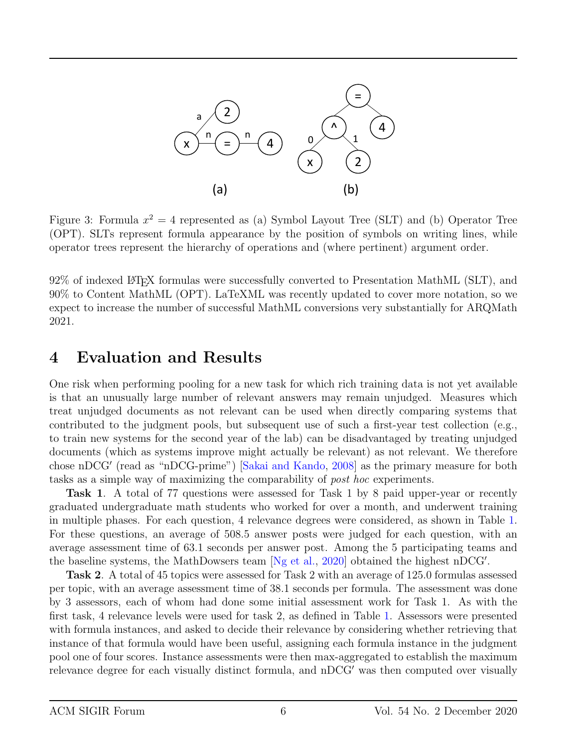

<span id="page-5-0"></span>Figure 3: Formula  $x^2 = 4$  represented as (a) Symbol Layout Tree (SLT) and (b) Operator Tree (OPT). SLTs represent formula appearance by the position of symbols on writing lines, while operator trees represent the hierarchy of operations and (where pertinent) argument order.

92% of indexed LATEX formulas were successfully converted to Presentation MathML (SLT), and 90% to Content MathML (OPT). LaTeXML was recently updated to cover more notation, so we expect to increase the number of successful MathML conversions very substantially for ARQMath 2021.

### 4 Evaluation and Results

One risk when performing pooling for a new task for which rich training data is not yet available is that an unusually large number of relevant answers may remain unjudged. Measures which treat unjudged documents as not relevant can be used when directly comparing systems that contributed to the judgment pools, but subsequent use of such a first-year test collection (e.g., to train new systems for the second year of the lab) can be disadvantaged by treating unjudged documents (which as systems improve might actually be relevant) as not relevant. We therefore chose nDCG' (read as "nDCG-prime") [\[Sakai and Kando,](#page-8-8) [2008\]](#page-8-8) as the primary measure for both tasks as a simple way of maximizing the comparability of post hoc experiments.

Task 1. A total of 77 questions were assessed for Task 1 by 8 paid upper-year or recently graduated undergraduate math students who worked for over a month, and underwent training in multiple phases. For each question, 4 relevance degrees were considered, as shown in Table [1.](#page-6-1) For these questions, an average of 508.5 answer posts were judged for each question, with an average assessment time of 63.1 seconds per answer post. Among the 5 participating teams and the baseline systems, the MathDowsers team [\[Ng et al.,](#page-7-11)  $2020$ ] obtained the highest nDCG'.

Task 2. A total of 45 topics were assessed for Task 2 with an average of 125.0 formulas assessed per topic, with an average assessment time of 38.1 seconds per formula. The assessment was done by 3 assessors, each of whom had done some initial assessment work for Task 1. As with the first task, 4 relevance levels were used for task 2, as defined in Table [1.](#page-6-1) Assessors were presented with formula instances, and asked to decide their relevance by considering whether retrieving that instance of that formula would have been useful, assigning each formula instance in the judgment pool one of four scores. Instance assessments were then max-aggregated to establish the maximum relevance degree for each visually distinct formula, and nDCG' was then computed over visually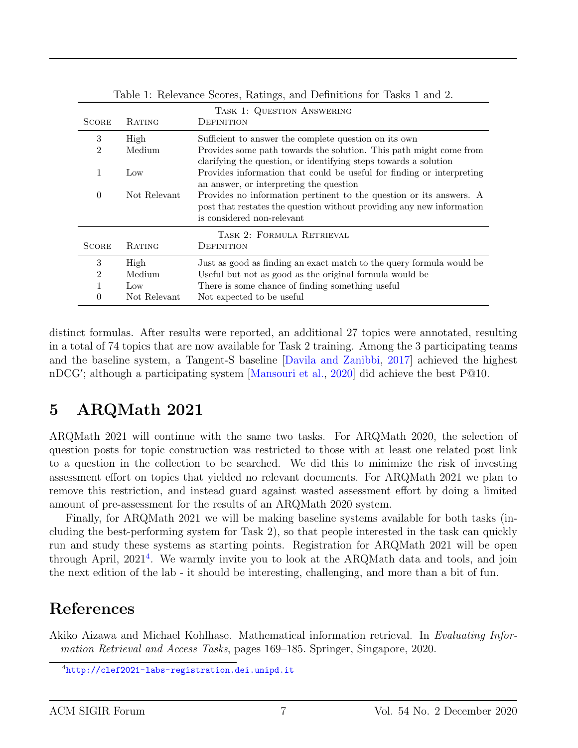|                |               | TASK 1: QUESTION ANSWERING                                                                                       |
|----------------|---------------|------------------------------------------------------------------------------------------------------------------|
| <b>SCORE</b>   | <b>RATING</b> | DEFINITION                                                                                                       |
| 3              | High          | Sufficient to answer the complete question on its own                                                            |
| $\overline{2}$ | Medium        | Provides some path towards the solution. This path might come from                                               |
|                |               | clarifying the question, or identifying steps towards a solution                                                 |
| $\mathbf{1}$   | Low           | Provides information that could be useful for finding or interpreting<br>an answer, or interpreting the question |
| $\theta$       | Not Relevant  | Provides no information pertinent to the question or its answers. A                                              |
|                |               | post that restates the question without providing any new information                                            |
|                |               | is considered non-relevant                                                                                       |
|                |               | TASK 2: FORMULA RETRIEVAL                                                                                        |
| <b>SCORE</b>   | <b>RATING</b> | DEFINITION                                                                                                       |
| 3              | High          | Just as good as finding an exact match to the query formula would be                                             |
| $\mathfrak{D}$ | Medium        | Useful but not as good as the original formula would be                                                          |
|                | Low           | There is some chance of finding something useful.                                                                |
| $\theta$       | Not Relevant  | Not expected to be useful                                                                                        |

<span id="page-6-1"></span>Table 1: Relevance Scores, Ratings, and Definitions for Tasks 1 and 2.

distinct formulas. After results were reported, an additional 27 topics were annotated, resulting in a total of 74 topics that are now available for Task 2 training. Among the 3 participating teams and the baseline system, a Tangent-S baseline [\[Davila and Zanibbi,](#page-7-4) [2017\]](#page-7-4) achieved the highest nDCG'; although a participating system [\[Mansouri et al.,](#page-7-12) [2020\]](#page-7-12) did achieve the best P@10.

### 5 ARQMath 2021

ARQMath 2021 will continue with the same two tasks. For ARQMath 2020, the selection of question posts for topic construction was restricted to those with at least one related post link to a question in the collection to be searched. We did this to minimize the risk of investing assessment effort on topics that yielded no relevant documents. For ARQMath 2021 we plan to remove this restriction, and instead guard against wasted assessment effort by doing a limited amount of pre-assessment for the results of an ARQMath 2020 system.

Finally, for ARQMath 2021 we will be making baseline systems available for both tasks (including the best-performing system for Task 2), so that people interested in the task can quickly run and study these systems as starting points. Registration for ARQMath 2021 will be open through April, 2021<sup>[4](#page-6-2)</sup>. We warmly invite you to look at the ARQMath data and tools, and join the next edition of the lab - it should be interesting, challenging, and more than a bit of fun.

### References

<span id="page-6-0"></span>Akiko Aizawa and Michael Kohlhase. Mathematical information retrieval. In Evaluating Information Retrieval and Access Tasks, pages 169–185. Springer, Singapore, 2020.

<span id="page-6-2"></span><sup>4</sup><http://clef2021-labs-registration.dei.unipd.it>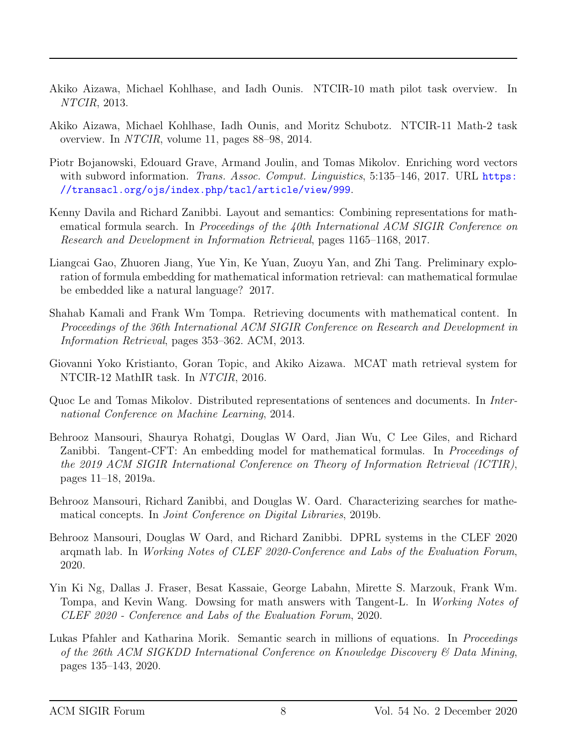- <span id="page-7-1"></span>Akiko Aizawa, Michael Kohlhase, and Iadh Ounis. NTCIR-10 math pilot task overview. In NTCIR, 2013.
- <span id="page-7-2"></span>Akiko Aizawa, Michael Kohlhase, Iadh Ounis, and Moritz Schubotz. NTCIR-11 Math-2 task overview. In NTCIR, volume 11, pages 88–98, 2014.
- <span id="page-7-9"></span>Piotr Bojanowski, Edouard Grave, Armand Joulin, and Tomas Mikolov. Enriching word vectors with subword information. *Trans. Assoc. Comput. Linguistics*, 5:135-146, 2017. URL [https:](https://transacl.org/ojs/index.php/tacl/article/view/999) [//transacl.org/ojs/index.php/tacl/article/view/999](https://transacl.org/ojs/index.php/tacl/article/view/999).
- <span id="page-7-4"></span>Kenny Davila and Richard Zanibbi. Layout and semantics: Combining representations for mathematical formula search. In Proceedings of the  $40th$  International ACM SIGIR Conference on Research and Development in Information Retrieval, pages 1165–1168, 2017.
- <span id="page-7-6"></span>Liangcai Gao, Zhuoren Jiang, Yue Yin, Ke Yuan, Zuoyu Yan, and Zhi Tang. Preliminary exploration of formula embedding for mathematical information retrieval: can mathematical formulae be embedded like a natural language? 2017.
- <span id="page-7-5"></span>Shahab Kamali and Frank Wm Tompa. Retrieving documents with mathematical content. In Proceedings of the 36th International ACM SIGIR Conference on Research and Development in Information Retrieval, pages 353–362. ACM, 2013.
- <span id="page-7-3"></span>Giovanni Yoko Kristianto, Goran Topic, and Akiko Aizawa. MCAT math retrieval system for NTCIR-12 MathIR task. In NTCIR, 2016.
- <span id="page-7-7"></span>Quoc Le and Tomas Mikolov. Distributed representations of sentences and documents. In International Conference on Machine Learning, 2014.
- <span id="page-7-8"></span>Behrooz Mansouri, Shaurya Rohatgi, Douglas W Oard, Jian Wu, C Lee Giles, and Richard Zanibbi. Tangent-CFT: An embedding model for mathematical formulas. In *Proceedings of* the 2019 ACM SIGIR International Conference on Theory of Information Retrieval (ICTIR), pages 11–18, 2019a.
- <span id="page-7-0"></span>Behrooz Mansouri, Richard Zanibbi, and Douglas W. Oard. Characterizing searches for mathematical concepts. In Joint Conference on Digital Libraries, 2019b.
- <span id="page-7-12"></span>Behrooz Mansouri, Douglas W Oard, and Richard Zanibbi. DPRL systems in the CLEF 2020 arqmath lab. In Working Notes of CLEF 2020-Conference and Labs of the Evaluation Forum, 2020.
- <span id="page-7-11"></span>Yin Ki Ng, Dallas J. Fraser, Besat Kassaie, George Labahn, Mirette S. Marzouk, Frank Wm. Tompa, and Kevin Wang. Dowsing for math answers with Tangent-L. In Working Notes of CLEF 2020 - Conference and Labs of the Evaluation Forum, 2020.
- <span id="page-7-10"></span>Lukas Pfahler and Katharina Morik. Semantic search in millions of equations. In *Proceedings* of the 26th ACM SIGKDD International Conference on Knowledge Discovery & Data Mining, pages 135–143, 2020.